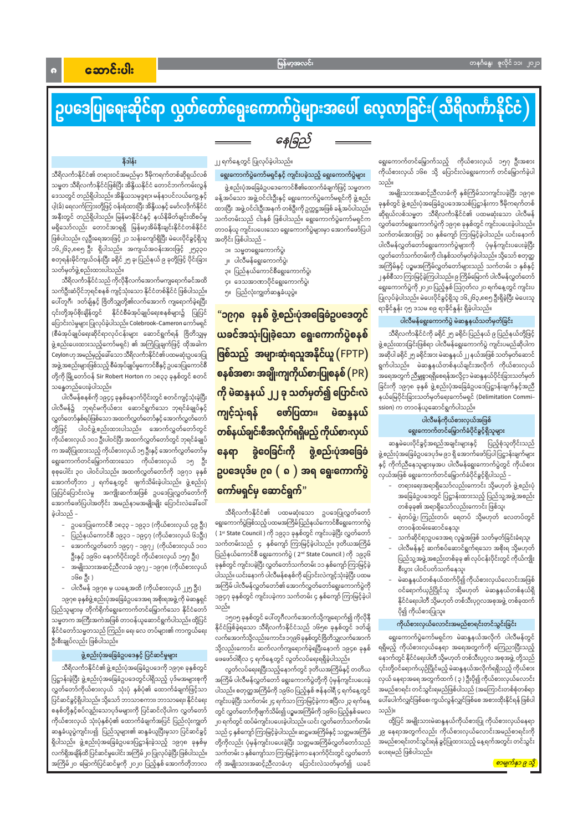$\bullet$ 

# ဥပဒေပြုရေးဆိုင်ရာ လွှတ်တော်ရွေးကောက်ပွဲများအပေါ် လေ့လာခြင်း $($ သိရိလင်္ကာနိုင်ငံ $)$

## နေခြည်

#### နိဒါန်း

သီရိလင်္ကာနိုင်ငံ၏ တရားဝင်အမည်မှာ ဒီမိုကရက်တစ်ဆိုရှယ်လစ် သမ္မတ သီရိလင်္ကာနိုင်ငံဖြစ်ပြီး အိန္ဒိယနိုင်ငံ တောင်ဘက်ကမ်းလွန် ဒေသတွင် တည်ရှိပါသည်။ အိန္ဒိယသမုဒ္ဒရာ၊ မန်နာပင်လယ်ကွေ့ နှင့် ပါ့(ခ်) ရေလက်ကြားတို့ဖြင့် ဝန်းရံထားပြီး အိန္ဒိယနှင့် မော်လဒိုက်နိုင်ငံ အနီးတွင် တည်ရှိပါသည်။ မြန်မာနိုင်ငံနှင့် နယ်နိမိတ်ချင်းထိစပ်မှု မရှိသော်လည်း တောင်အာရှရှိ မြန်မာ့အိမ်နီးချင်းနိုင်ငံတစ်နိုင်ငံ ဖြစ်ပါသည်။ လူဦးရေအားဖြင့် ၂၁ သန်းကျော်ရှိပြီး မဲပေးပိုင်ခွင့်ရှိသူ ၁၆,၂၆၃,၈၈၅ ဦး ရှိပါသည်။ အကျယ်အဝန်းအားဖြင့် ၂၅၃၃၀ စတုရန်းမိုင်ကျယ်ဝန်းပြီး ခရိုင် ၂၅ ခု၊ ပြည်နယ် ၉ ခုတို့ဖြင့် ပိုင်းခြား သတ်မှတ်ဖွဲ့ စည်းထားပါသည်။

သီရိလင်္ကာနိုင်ငံသည် ကိုလိုနီလက်အောက်မကျရောက်ခင်အထိ သက်ဦးဆံပိုင်ဘုရင်စနစ် ကျင့်သုံးသော နိုင်ငံတစ်နိုင်ငံ ဖြစ်ပါသည်။ ပေါ်တူဂီ၊ ဒတ်ချ်နှင့် ဗြိတိသျှတို့၏လက်အောက် ကျရောက်ခဲ့ရပြီး ၎င်းတို့အုပ်စိုးချိန်တွင် နိုင်ငံစီမံအုပ်ချုပ်ရေးစနစ်များ၌ ပြုပြင် ပြောင်းလဲမှုများ ပြုလုပ်ခဲ့ပါသည်။ Colebrook–Cameron ကော်မရှင် (စီမံအုပ်ချုပ်ရေးဆိုင်ရာလုပ်ငန်းများ ဆောင်ရွက်ရန် ဗြိတိသျှမှ ဖွဲ့ စည်းပေးထားသည့်ကော်မရှင်) ၏ အကြံပြုချက်ဖြင့် ထိုအခါက Ceylon ဟု အမည်မှည့်ခေါ်သော သီရိလင်္ကာနိုင်ငံ၏ ပထမဆုံးဥပဒေပြု အဖွဲ့ အစည်းများဖြစ်သည့် စီမံအုပ်ချုပ်မှုကောင်စီနှင့် ဥပဒေပြုကောင်စီ တို့ကို မြို့တော်ဝန် Sir Robert Horton က ၁၈၃၃ ခုနှစ်တွင် စတင် သန္ဓေတည်ပေးခဲ့ပါသည်။

ပါလီမန်စနစ်ကို ၁၉၄၄ ခုနှစ်နောက်ပိုင်းတွင် စတင်ကျင့်သုံးခဲ့ပြီး ပါလီမန်၌ ဘုရင်မကိုယ်စား ဆောင်ရွက်သော ဘုရင်ခံချုပ်နှင့် လွှတ်တော်နှစ်ရပ်ဖြစ်သော အထက်လွှတ်တော်နှင့် အောက်လွှတ်တော် တို့ဖြင့် ပါဝင်ဖွဲ့စည်းထားပါသည်။ အောက်လွှတ်တော်တွင် ကိုယ်စားလှယ် ၁၀၁ ဦးပါဝင်ပြီး အထက်လွှတ်တော်တွင် ဘုရင်ခံချုပ် က အဆိုပြုထားသည့် ကိုယ်စားလှယ် ၁၅ ဦးနှင့် အောက်လွှတ်တော်မှ ရွေးကောက်တင်မြှောက်ထားသော ကိုယ်စားလှယ် ၁၅ ဦး စုစုပေါင်း ၃၀ ပါဝင်ပါသည်။ အထက်လွှတ်တော်ကို ၁၉၇၁ ခုနှစ် အောက်တိုဘာ ၂ ရက်နေ့တွင် ဖျက်သိမ်းခဲ့ပါသည်။ ဖွဲ့စည်းပုံ ပြုပြင်ပြောင်းလဲမှု အကျိုးဆက်အဖြစ် ဥပဒေပြုလွှတ်တော်ကို အောက်ဖော်ပြပါအတိုင်း အမည်နာမအမျိုးမျိုး ပြောင်းလဲခေါ်ဝေါ် ခဲ့ပါသည် –

- ဥပဒေပြုကောင်စီ ၁၈၃၃ ၁၉၃၁ (ကိုယ်စားလှယ် ၄၉ ဦး)
- ပြည်နယ်ကောင်စီ ၁၉၃၁ ၁၉၄၇ (ကိုယ်စားလှယ် ၆၁ဦး)
- အောက်လွှတ်တော် ၁၉၄၇ ၁၉၇၂ (ကိုယ်စားလှယ် ၁၀၁ ဦးနှင့် ၁၉၆၀ နောက်ပိုင်းတွင် ကိုယ်စားလှယ် ၁၅၇ ဦး)
- အမျိုးသားအဆင့်ညီလာခံ ၁၉၇၂ ၁၉၇၈ (ကိုယ်စားလှယ် ၁၆၈ ဦး )
- ပါလီမန် ၁၉၇၈ မှ ယနေ့အထိ (ကိုယ်စားလှယ် ၂၂၅ ဦး)

၁၉၇၈ ခုနှစ်ဖွဲ့ စည်းပုံအခြေခံဥပဒေအရ အစိုးရအဖွဲ့ ကို မဲဆန္ဒရှင် ပြည်သူများမှ တိုက်ရိုက်ရွေးကောက်တင်မြှောက်သော နိုင်ငံတော် သမ္မတက အကြီးအကဲအဖြစ် တာဝန်ယူဆောင်ရွက်ပါသည်။ ထို့ပြင် နိုင်ငံတော်သမ္မတသည် ကြည်း၊ ရေ၊ လေ တပ်များ၏ ကာကွယ်ရေး ဦးစီးချုပ်လည်း ဖြစ်ပါသည်။

#### ၂၂ ရက်နေ့တွင် ပြုလုပ်ခဲ့ပါသည်။

#### ရွေးကောက်ပွဲကော်မရှင်နှင့် ကျင်းပခဲ့သည့် ရွေးကောက်ပွဲများ

ဖွဲ့စည်းပုံအခြေခံဥပဒေကောင်စီ၏ထောက်ခံချက်ဖြင့် သမ္မတက ခန့်အပ်သော အဖွဲ့ဝင်ငါးဦးနှင့် ရွေးကောက်ပွဲကော်မရှင်ကို ဖွဲ့စည်း ထားပြီး အဖွဲ့ဝင်ငါးဦးအနက် တစ်ဦးကို ဥက္ကဋ္ဌအဖြစ် ခန့်အပ်ပါသည်။ သက်တမ်းသည် ငါးနှစ် ဖြစ်ပါသည်။ ရွေးကောက်ပွဲကော်မရှင်က တာဝန်ယူ ကျင်းပပေးသော ရွေးကောက်ပွဲများမှာ အောက်ဖော်ပြပါ အတိုင်း ဖြစ်ပါသည် –

- ၁။ သမ္မတရွေးကောက်ပွဲ၊
- ၂။ ပါလီမန်ရွေးကောက်ပွဲ၊
- ၃။ ပြည်နယ်ကောင်စီရွေးကောက်ပွဲ၊
- ၄။ ဒေသအာဏာပိုင်ရွေးကောက်ပွဲ၊
- ၅။ ပြည်လုံးကျွတ်ဆန္ဒခံယူပွဲ။

"၁၉၇၈ ခုနှစ် ဖွဲ့စည်းပုံအခြေခံဥပဒေတွင် ယခင်အသုံးပြုခဲ့သော ရွေးကောက်ပွဲစနစ် ဖြစ်သည့် အများဆုံးရသူအနိုင်ယူ (FPTP) စနစ်အစား အချိုးကျကိုယ်စားပြုစနစ် (PR) ကို မဲဆန္ဒနယ် ၂၂ ခု သတ်မှတ်၍ ပြောင်းလဲ ဖော်ပြထား၊ ကျင့်သုံးရန် မဲဆန္ဒနယ် တစ်နယ်ချင်းစီအလိုက်ရရှိမည့် ကိုယ်စားလှယ် ခွဲဝေခြင်းကို ဖွဲ့စည်းပုံအခြေခံ နေရာ ဥပဒေပုဒ်မ ၉ရ ( ရ ) အရ ရွေးကောက်ပွဲ ကော်မရှင်မှ ဆောင်ရွက်"

သီရိလင်္ကာနိုင်ငံ၏ ပထမဆုံးသော ဥပဒေပြုလွှတ်တော် ရွေးကောက်ပွဲဖြစ်သည့် ပထမအကြိမ်ပြည်နယ်ကောင်စီရွေးကောက်ပွဲ ( 1st State Council ) ကို ၁၉၃၁ ခုနှစ်တွင် ကျင်းပခဲ့ပြီး လွှတ်တော် သက်တမ်းသည် ၄ နှစ်ကျော် ကြာမြင့်ခဲ့ပါသည်။ ဒုတိယအကြိမ် ပြည်နယ်ကောင်စီ ရွေးကောက်ပွဲ ( 2ʰª State Council ) ကို ၁၉၃၆ ခုနှစ်တွင် ကျင်းပခဲ့ပြီး လွှတ်တော်သက်တမ်း ၁၁ နှစ်ကျော် ကြာမြင့်ခဲ့ ပါသည်။ ယင်းနောက် ပါလီမန်စနစ်ကို ပြောင်းလဲကျင့်သုံးခဲ့ပြီး ပထမ အကြိမ် ပါလီမန်လွှတ်တော်၏ အောက်လွှတ်တော်ရွေးကောက်ပွဲကို ၁၉၄၇ ခုနှစ်တွင် ကျင်းပခဲ့ကာ သက်တမ်း ၄ နှစ်ကျော် ကြာမြင့်ခဲ့ပါ သည်။

၁၅၀၅ ခုနှစ်တွင် ပေါ်တူဂီလက်အောက်သို့ကျရောက်၍ ကိုလိုနီ နိုင်ငံဖြစ်ခဲ့ရသော သီရိလင်္ကာနိုင်ငံသည် ၁၆၅၈ ခုနှစ်တွင် ဒတ်ချ် လက်အောက်သို့လည်းကောင်း၊၁၇၉၆ ခုနှစ်တွင်ဗြိတိသျှလက်အောက် သို့လည်းကောင်း ဆက်လက်ကျရောက်ခဲ့ရပြီးနောက် ၁၉၄၈ ခုနှစ် ဖေဖော်ဝါရီလ ၄ ရက်နေ့တွင် လွတ်လပ်ရေးရရှိခဲ့ပါသည်။ လွတ်လပ်ရေးရပြီးသည့်နောက်တွင် ဒုတိယအကြိမ်နှင့် တတိယ အကြိမ် ပါလီမန်လွှတ်တော် ရွေးကောက်ပွဲတို့ကို ပုံမှန်ကျင်းပပေးခဲ့ ပါသည်။ စတုတ္ထအကြိမ်ကို ၁၉၆၀ ပြည့်နှစ် ဇန်နဝါရီ ၄ ရက်နေ့တွင် ကျင်းပခဲ့ပြီး သက်တမ်း၂၄ ရက်သာ ကြာမြင့်ခဲ့ကာ ဧပြီလ၂၃ ရက်နေ့ တွင် လွှတ်တော်ကိုဖျက်သိမ်း၍ ပဉ္စမအကြိမ်ကို ၁၉၆၀ ပြည့်နှစ်မေလ ၂၀ ရက်တွင် ထပ်မံကျင်းပပေးခဲ့ပါသည်။ ယင်း လွှတ်တော်သက်တမ်း သည် ၄ နှစ်ကျော် ကြာမြင့်ခဲ့ပါသည်။ ဆဋ္ဌမအကြိမ်နှင့် သတ္တမအကြိမ် တို့ကိုလည်း ပုံမှန်ကျင်းပပေးခဲ့ပြီး သတ္တမအကြိမ်လွှတ်တော်သည် သက်တမ်း ၁ နှစ်ကျော်သာ ကြာမြင့်ခဲ့ကာ နောက်ပိုင်းတွင် လွှတ်တော် ကို အမျိုးသားအဆင့်ညီလာခံဟု ပြောင်းလဲသတ်မှတ်၍ ယခင်

ရွေးကောက်တင်မြှောက်သည့် ကိုယ်စားလှယ် ၁၅၇ ဦးအစား ကိုယ်စားလှယ် ၁၆၈ သို့ ပြောင်းလဲရွေးကောက် တင်မြှောက်ခဲ့ပါ သည်။

အမျိုးသားအဆင့်ညီလာခံကို နှစ်ကြိမ်သာကျင်းပခဲ့ပြီး ၁၉၇၈ ခုနှစ်တွင် ဖွဲ့စည်းပုံအခြေခံဥပဒေအသစ်ပြဋ္ဌာန်းကာ ဒီမိုကရက်တစ် ဆိုရှယ်လစ်သမ္မတ သီရိလင်္ကာနိုင်ငံ၏ ပထမဆုံးသော ပါလီမန် လွှတ်တော်ရွေးကောက်ပွဲကို ၁၉၇၈ ခုနှစ်တွင် ကျင်းပပေးခဲ့ပါသည်။ သက်တမ်းအားဖြင့် ၁၀ နှစ်ကျော် ကြာမြင့်ခဲ့ပါသည်။ ယင်းနောက် ပါလီမန်လွှတ်တော်ရွေးကောက်ပွဲများကို ပုံမှန်ကျင်းပပေးခဲ့ပြီး လွှတ်တော်သက်တမ်းကို ငါးနှစ်သတ်မှတ်ခဲ့ပါသည်။ သို့သော် စတုတ္ထ အကြိမ်နှင့် ပဉ္စမအကြိမ်လွှတ်တော်များသည် သက်တမ်း ၁ နှစ်နှင့် ၂ နှစ်စီသာ ကြာမြင့်ခဲ့ကြပါသည်။ ၉ ကြိမ်မြောက် ပါလီမန်လွှတ်တော် ရွေးကောက်ပွဲကို၂၀၂၀ ပြည့်နှစ် ဩဂုတ်လ၂၀ ရက်နေ့တွင် ကျင်းပ ပြုလုပ်ခဲ့ပါသည်။ မဲပေးပိုင်ခွင့်ရှိသူ ၁၆,၂၆၃,၈၈၅ ဦးရှိခဲ့ပြီး မဲပေးသူ ရာခိုင်နှုန်း ၇၅ ဒသမ ၈၉ ရာခိုင်နှုန်း ရှိခဲ့ပါသည်။

#### ပါလီမန်ရွေးကောက်ပွဲ မဲဆန္ဒနယ်သတ်မှတ်ခြင်း

သီရိလင်္ကာနိုင်ငံကို ခရိုင်၂၅ ခရိုင်၊ ပြည်နယ် ၉ ပြည်နယ်တို့ဖြင့် ဖွဲ့ စည်းထားခြင်းဖြစ်ရာ ပါလီမန်ရွေးကောက်ပွဲ ကျင်းပမည်ဆိုပါက အဆိုပါ ခရိုင် ၂၅ ခရိုင်အား မဲဆန္ဒနယ် ၂၂ နယ်အဖြစ် သတ်မှတ်ဆောင် ရွက်ပါသည်။ မဲဆန္ဒနယ်တစ်နယ်ချင်းအလိုက် ကိုယ်စားလှယ် အရေအတွက် ညီမျှစွာရရှိစေရန်အလို့ငှာ မဲဆန္ဒနယ်ပိုင်းခြားသတ်မှတ် ခြင်းကို ၁၉၇၈ ခုနှစ် ဖွဲ့စည်းပုံအခြေခံဥပဒေပြဋ္ဌာန်းချက်နှင့်အညီ နယ်မြေပိုင်းခြားသတ်မှတ်ရေးကော်မရှင် (Delimitation Commission) က တာဝန်ယူဆောင်ရွက်ပါသည်။

#### ပါလီမန်ကိုယ်စားလှယ်အဖြစ် ရွေးကောက်တင်မြှောက်ခံပိုင်ခွင့်ရှိသူများ

ဆန္ဒမဲပေးပိုင်ခွင့်အရည်အချင်းများနှင့် ပြည့်စုံသူတိုင်းသည် ဖွဲ့ စည်းပုံအခြေခံဥပဒေပုဒ်မ ၉၁ ရှိ အောက်ဖော်ပြပါ ပြဋ္ဌာန်းချက်များ နှင့် ကိုက်ညီနေသူများမှအပ ပါလီမန်ရွေးကောက်ပွဲတွင် ကိုယ်စား လှယ်အဖြစ် ရွေးကောက်တင်မြှောက်ခံပိုင်ခွင့်ရှိပါသည် –

- တရားရေးအရာရှိသော်လည်းကောင်း သို့မဟုတ် ဖွဲ့စည်းပုံ အခြေခံဥပဒေတွင် ပြဋ္ဌာန်းထားသည့် ပြည်သူ့အဖွဲ့အစည်း တစ်ခုခု၏ အရာရှိသော်လည်းကောင်း ဖြစ်သူ၊
- ရဲတပ်ဖွဲ့၊ ကြည်းတပ်၊ ရေတပ် သို့မဟုတ် လေတပ်တွင် တာဝန်ထမ်းဆောင်နေသူ၊
- သက်ဆိုင်ရာဥပဒေအရ လူမွဲအဖြစ် သတ်မှတ်ခြင်းခံရသူ၊
- ပါလီမန်နှင့် ဆက်စပ်ဆောင်ရွက်ရသော အစိုးရ သို့မဟုတ် ပြည်သူ့အဖွဲ့ အစည်းတစ်ခုခု ၏ လုပ်ငန်းပိုင်းတွင် ကိုယ်ကျိုး စီးပွား ပါဝင်ပတ်သက်နေသူ၊
- မဲဆန္ဒနယ်တစ်နယ်ထက်ပို၍ ကိုယ်စားလှယ်လောင်းအဖြစ် ဝင်ရောက်ယှဉ်ပြိုင်သူ သို့မဟုတ် မဲဆန္ဒနယ်တစ်နယ်ရှိ နိုင်ငံရေးပါတီ သို့မဟုတ် တစ်သီးပုဂ္ဂလအစုအဖွဲ့ တစ်ခုထက် ပို၍ ကိုယ်စားပြုသူ။

ကိုယ်စားလှယ်လောင်းအမည်စာရင်းတင်သွင်းခြင်း

#### ဖွဲ့စည်းပုံအခြေခံဥပဒေနှင့် ပြင်ဆင်မှုများ

သီရိလင်္ကာနိုင်ငံ၏ဖွဲ့ စည်းပုံအခြေခံဥပဒေကို ၁၉၇၈ ခုနှစ်တွင် ပြဋ္ဌာန်းခဲ့ပြီး ဖွဲ့စည်းပုံအခြေခံဥပဒေတွင်ပါရှိသည့် ပုဒ်မအများစုကို လွှတ်တော်ကိုယ်စားလှယ် သုံးပုံ နှစ်ပုံ၏ ထောက်ခံချက်ဖြင့်သာ ပြင်ဆင်ခွင့်ရှိပါသည်။ သို့သော် ဘာသာစကား၊ ဘာသာရေး၊ နိုင်ငံရေး စနစ်တို့နှင့်စပ်လျဉ်းသောပုဒ်မများကို ပြင်ဆင်လိုပါက လွှတ်တော် ကိုယ်စားလှယ် သုံးပုံနှစ်ပုံ၏ ထောက်ခံချက်အပြင် ပြည်လုံးကျွတ် ဆန္ဒခံယူပွဲကျင်းပ၍ ပြည်သူများ၏ ဆန္ဒခံယူပြီးမှသာ ပြင်ဆင်ခွင့် ရှိပါသည်။ ဖွဲ့စည်းပုံအခြေခံဥပဒေပြဋ္ဌာန်းခဲ့သည့် ၁၉၇၈ ခုနှစ်မှ လက်ရှိအချိန်ထိ ပြင်ဆင်မှုပေါင်း အကြိမ်၂၀ ပြုလုပ်ခဲ့ပြီး ဖြစ်ပါသည်။ အကြိမ်၂၀ မြောက်ပြင်ဆင်မှုကို ၂၀၂၀ ပြည့်နှစ် အောက်တိုဘာလ

ရွေးကောက်ပွဲကော်မရှင်က မဲဆန္ဒနယ်အလိုက် ပါလီမန်တွင် ရရှိမည့် ကိုယ်စားလှယ်နေရာ အရေအတွက်ကို ကြေညာပြီးသည့် နောက်တွင် နိုင်ငံရေးပါတီ သို့မဟုတ် တစ်သီးပုဂ္ဂလ အစုအဖွဲ့ တို့သည် ၎င်းတို့ဝင်ရောက်ယှဉ်ပြိုင်မည့် မဲဆန္ဒနယ်အလိုက်ရရှိသည့် ကိုယ်စား လှယ် နေရာအရေ အတွက်ထက် ( ၃ ) ဦးပို၍ ကိုယ်စားလှယ်လောင်း အမည်စာရင်း တင်သွင်းရမည်ဖြစ်ပါသည် (အကြောင်းတစ်စုံတစ်ရာ ပေါ်ပေါက်လျှင်ဖြစ်စေ၊ ကွယ်လွန်လျှင်ဖြစ်စေ အစားထိုးနိုင်ရန် ဖြစ်ပါ သည်)။

ထို့ပြင် အမျိုးသားမဲဆန္ဒနယ်ကိုယ်စားပြု ကိုယ်စားလှယ်နေရာ ၂၉ နေရာအတွက်လည်း ကိုယ်စားလှယ်လောင်းအမည်စာရင်းကို အမည်စာရင်းတင်သွင်းရန် ခွင့်ပြုထားသည့် နေ့ရက်အတွင်း တင်သွင်း ပေးရမည် ဖြစ်ပါသည်။

<mark>စာမျက်နှာ ၉ သို့</mark>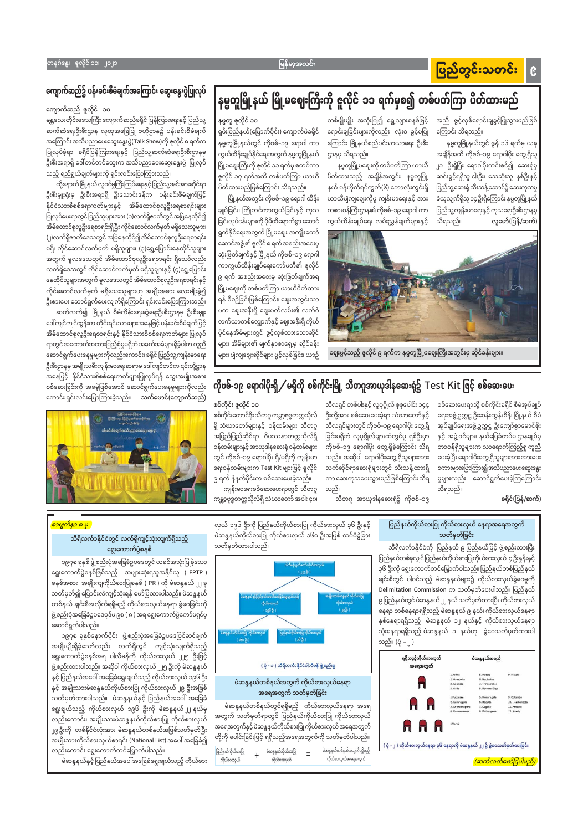#### ပြည်တွင်းသတင်း  $\mathbf{C}$

အညီ ဖွင့်လှစ်ရောင်းချခွင့်ပြုသွားမည်ဖြစ်

အချိန်အထိ ကိုဗစ်–၁၉ ရောဂါပိုး တွေ့ရှိသူ

၂၁ ဦးရှိပြီး ရောဂါပိုးကင်းစင်၍ ဆေးရုံမှ

ဆင်းခွင့်ရရှိသူ ငါးဦး၊ သေဆုံးသူ နှစ်ဦးနှင့်

ပြည်သူ့ဆေးရုံ သီးသန့်ဆောင်၌ ဆေးကုသမှု

ခံယူလျက်ရှိသူ ၁၄ ဦးရှိကြောင်း နမ္မတူမြို့နယ်

ပြည်သူ့ကျန်းမာရေးနှင့် ကုသရေးဦးစီးဌာနမှ

လူမော်(ပြန်/ဆက်)

နမ္မတူမြို့နယ်တွင် ဇွန် ၁၆ ရက်မှ ယခု

ကြောင်း သိရသည်။

#### မြန်မာ့အလင်း

#### တနင်္ဂနွေ၊ ဇူလိုင်ံ ၁၁၊ ၂၀၂၁

### ကျောက်ဆည်၌ ပန်းခင်းစီမံချက်အကြောင်း ဆွေးနွေးပွဲပြုလုပ်

ကျောက်ဆည် ဇူလိုင် ၁၀

မန္တလေးတိုင်းဒေသကြီး ကျောက်ဆည်ခရိုင် ပြန်ကြားရေးနှင့် ပြည်သူ့ ဆက်ဆံရေးဦးစီးဌာန လူထုအခြေပြု ဗဟိုဌာန၌ ပန်းခင်းစီမံချက် အကြောင်း အသိပညာပေးဆွေးနွေးပွဲ(Talk Show)ကို ဇူလိုင် ၈ ရက်က ပြုလုပ်ခဲ့ရာ ခရိုင်ပြန်ကြားရေးနှင့် ပြည်သူ့ဆက်ဆံရေးဦးစီးဌာနမှ ဦးစီးအရာရှိ ဒေါ်တင်တင်ထွေးက အသိပညာပေးဆွေးနွေးပွဲ ပြုလုပ် သည့် ရည်ရွယ်ချက်များကို ရှင်းလင်းပြောကြားသည်။

ထို့နောက် မြို့နယ် လူဝင်မှုကြီးကြပ်ရေးနှင့် ပြည်သူ့အင်အားဆိုင်ရာ ဦးစီးမျုးရုံးမှ ဦးစီးအရာရှိ ဦးသောင်းဒန်က ပန်းခင်းစီမံချက်ဖြင့် နိုင်ငံသားစိစစ်ရေးကတ်များနှင့် အိမ်ထောင်စုလူဦးရေစာရင်းများ ပြုလုပ်ပေးရာတွင် ပြည်သူများအား (၁)လက်ရှိဇာတိတွင် အမြဲနေထိုင်၍ အိမ်ထောင်စုလူဦးရေစာရင်းရှိပြီး ကိုင်ဆောင်လက်မှတ် မရှိသေးသူများ၊ (၂)လက်ရှိဇာတိဒေသတွင် အမြဲနေထိုင်၍ အိမ်ထောင်စုလူဦးရေစာရင်း မရှိ၊ ကိုင်ဆောင်လက်မှတ် မရှိသူများ၊ (၃)ရွှေ့ပြောင်းနေထိုင်သူများ အတွက် မူလဒေသတွင် အိမ်ထောင်စုလူဦးရေစာရင်း ရှိသော်လည်း လက်ရှိဒေသတွင် ကိုင်ဆောင်လက်မှတ် မရှိသူများနှင့် (၄)ရွှေ့ပြောင်း နေထိုင်သူများအတွက် မူလဒေသတွင် အိမ်ထောင်စုလူဦးရေစာရင်းနှင့် ကိုင်ဆောင်လက်မှတ် မရှိသေးသူများဟု အမျိုးအစား လေးမျိုးခွဲ၍ ဦးစားပေး ဆောင်ရွက်ပေးလျက်ရှိကြောင်း ရှင်းလင်းပြောကြားသည်။ ဆက်လက်၍ မြို့နယ် စီမံကိန်းရေးဆွဲရေးဦးစီးဌာနမှ ဦးစီးမျုး ဒေါ်ကျင်ကျင်ထွန်းက တိုင်းရင်းသားများအနေဖြင့် ပန်းခင်းစီမံချက်ဖြင့် အိမ်ထောင်စုလူဦးရေစာရင်းနှင့် နိုင်ငံသားစိစစ်ရေးကတ်များ ပြုလုပ် ရာတွင် အထောက်အထားပြည့်စုံမှုမရှိဘဲ အခက်အခဲများရှိခဲ့ပါက ကူညီ ဆောင်ရွက်ပေးနေမှုများကိုလည်းကောင်း၊ ခရိုင် ပြည်သူ့ကျန်းမာရေး ဦးစီးဌာနမှ အမျိုးသမီးကျန်းမာရေးဆရာမ ဒေါ်ကျင်တင်က ၎င်းတို့ဌာန အနေဖြင့် နိုင်ငံသားစိစစ်ရေးကတ်များပြုလုပ်ရန် သွေးအမျိုးအစား စစ်ဆေးခြင်းကို အခမဲ့ဖြစ်အောင် ဆောင်ရွက်ပေးနေမှုများကိုလည်း ကောင်း ရှင်းလင်းပြောကြားခဲ့သည်။ <mark>သက်မောင်(ကျောက်ဆည်</mark>)



## နမ္မတူမြို့နယ် မြို့မဈေးကြီးကို ဇူလိုင် ၁၁ ရက်မှစ၍ တစ်ပတ်ကြာ ပိတ်ထားမည်

နမ္မတူ ဇူလိုင် ၁၀

ရှမ်းပြည်နယ်(မြောက်ပိုင်း) ကျောက်မဲခရိုင် နမ္မတူမြို့နယ်တွင် ကိုဗစ်–၁၉ ရောဂါ ကာ ကွယ်ထိန်းချုပ်နိုင်ရေးအတွက် နမ္မတူမြို့နယ် မြို့မဈေးကြီးကို ဇူလိုင် ၁၁ ရက်မှ စတင်ကာ ဇူလိုင် ၁၇ ရက်အထိ တစ်ပတ်ကြာ ယာယီ ပိတ်ထားမည်ဖြစ်ကြောင်း သိရသည်။

မြို့နယ်အတွင်း ကိုဗစ်–၁၉ ရောဂါ ထိန်း ချုပ်ခြင်း၊ ကြိုတင်ကာကွယ်ခြင်းနှင့် ကုသ ခြင်းလုပ်ငန်းများကို ပိုမိုထိရောက်စွာ ဆောင် ရွက်နိုင်ရေးအတွက် မြို့မဈေး အကျိုးတော် ဆောင်အဖွဲ့၏ ဇူလိုင် ၈ ရက် အစည်းအဝေးမှ ဆုံးဖြတ်ချက်နှင့် မြို့နယ် ကိုဗစ်–၁၉ ရောဂါ ကာကွယ်ထိန်းချုပ်ရေးကော်မတီ၏ ဇူလိုင် ၉ ရက် အစည်းအဝေးမှ ဆုံးဖြတ်ချက်အရ မြို့မဈေးကို တစ်ပတ်ကြာ ယာယီပိတ်ထား ရန် စီစဉ်ခြင်းဖြစ်ကြောင်း၊ ဈေးအတွင်းသာ မက ဈေးအနီးရှိ ဈေးပတ်လမ်း၏ လက်ဝဲ လက်ယာတစ်လျှောက်နှင့် ဈေးအနီးရှိ ကိုယ် ပိုင်နေအိမ်များတွင် ဖွင့်လှစ်ထားသောဆိုင် များ၊ အိမ်များ၏ မျက်နှာစာရှေ့မှ ဆိုင်ခန်း များ၊ ပျံကျဈေးဆိုင်များ ဖွင့်လှစ်ခြင်း၊ ယာဉ်

တစ်မျိုးမျိုး အသုံးပြု၍ ရွေ့လျားစနစ်ဖြင့် ရောင်းချခြင်းများကိုလည်း လုံးဝ ခွင့်မပြု ကြောင်း မြို့နယ်စည်ပင်သာယာရေး ဦးစီး ဌာနမှ သိရသည်။

နမ္မတူမြို့မဈေးကို တစ်ပတ်ကြာ ယာယီ ပိတ်ထားသည့် အချိန်အတွင်း နမ္မတူမြို့ နယ် ပန်ဟိုက်ရပ်ကွက်(၆) ဘောလုံးကွင်းရှိ ယာယီပျံကျဈေးကိုမူ ကျန်းမာရေးနှင့် အား ကစားဝန်ကြီးဌာန၏ ကိုဗစ်–၁၉ ရောဂါ ကာ ကွယ်ထိန်းချုပ်ရေး လမ်းညွှန်ချက်များနှင့်



သိရသည်။

ဈေးဖွင့်သည့် ဇူလိုင် ၉ ရက်က နမ္မတူမြို့မဈေးကြီးအတွင်းမှ ဆိုင်ခန်းများ။

### ကိုဗစ်-၁၉ ရောဂါပိုးရှိ $\diagup$ မရှိကို စစ်ကိုင်းမြို့ သီတဂူအာယုဒါနဆေးရုံ၌ <code>Test Kit</code> ဖြင့် စစ်ဆေးပေး

သီလရှင် တစ်ပါးနှင့် လူပုဂ္ဂိုလ် စုစုပေါင်း ၁၄၄

ဦးတို့အား စစ်ဆေးပေးခဲ့ရာ သံဃာတော်နှင့် သီလရှင်များတွင် ကိုဗစ်–၁၉ ရောဂါပိုး တွေ့ရှိ

ခြင်းမရှိဘဲ လူပုဂ္ဂိုလ်များထဲတွင်မူ ရှစ်ဦးမှာ

ကိုဗစ်–၁၉ ရောဂါပိုး တွေ့ရှိခဲ့ကြောင်း သိရ

သည်။ အဆိုပါ ရောဂါပိုးတွေ့ရှိသူများအား

သက်ဆိုင်ရာဆေးရုံများတွင် သီးသန့်ထားရှိ

သည်။

စစ်ကိုင်း ဇူလိုင် ၁၀

စစ်ကိုင်းတောင်ရိုး သီတဂူ ကမ္ဘာ့ဗုဒ္ဓတက္ကသိုလ် ရှိ သံဃာတော်များနှင့် ဝန်ထမ်းများ၊ သီတဂူ အပြည်ပြည်ဆိုင်ရာ ဝိပဿနာတက္ကသိုလ်ရှိ ဝန်ထမ်းများနှင့် အာယုဒါနဆေးရုံ ဝန်ထမ်းများ တွင် ကိုဗစ်–၁၉ ရောဂါပိုး ရှိ/မရှိကို ကျန်းမာ ရေးဝန်ထမ်းများက Test Kit များဖြင့် ဇူလိုင် ၉ ရက် နံနက်ပိုင်းက စစ်ဆေးပေးခဲ့သည်။ ကျန်းမာရေးစစ်ဆေးပေးရာတွင် သီတဂူ

ကမ္ဘာ့ဗုဒ္ဓတက္ကသိုလ်ရှိ သံဃာတော် အပါး ၄၀၊

ကာ ဆေးကုသပေးသွားမည်ဖြစ်ကြောင်း သိရ သီတဂူ အာယုဒါနဆေးရုံ၌ ကိုဗစ်–၁၉

ခရိုင်(ပြန်/ဆက်)

စစ်ဆေးပေးရာသို့ စစ်ကိုင်းခရိုင် စီမံအုပ်ချုပ်

ရေးအဖွဲ့ဥက္ကဋ္ဌ ဦးဆန်းထွန်းစိန်၊ မြို့နယ် စီမံ

အုပ်ချုပ်ရေးအဖွဲ့ဥက္ကဋ္ဌ ဦးကျော်စွာမောင်စိုး

နှင့် အဖွဲ့ဝင်များ၊ နယ်မြေခံတပ်မဌာနချုပ်မှ

တာဝန်ရှိသူများက လာရောက်ကြည့်ရှု ကူညီ

ပေးခဲ့ပြီး ရောဂါပိုးတွေ့ ရှိသူများအား အားပေး

စကားများပြောကြား၍အသိပညာပေး ဆွေးနွေး မှုများလည်း ဆောင်ရွက်ပေးခဲ့ကြကြောင်း

#### ပြည်နယ်ကိုယ်စားပြု ကိုယ်စားလှယ် နေရာအရေအတွက် သတ်မှတ်ခြင်း

သိရသည်။

သီရိလင်္ကာနိုင်ငံကို ပြည်နယ် ၉ ပြည်နယ်ဖြင့် ဖွဲ့စည်းထားပြီး ပြည်နယ်တစ်ခုလျှင်ပြည်နယ်ကိုယ်စားပြုကိုယ်စားလှယ် ၄ ဦးနူန်းနှင့် ၃၆ ဦးကို ရွေးကောက်တင်မြှောက်ပါသည်။ ပြည်နယ်တစ်ပြည်နယ် ချင်းစီတွင် ပါဝင်သည့် မဲဆန္ဒနယ်များ၌ ကိုယ်စားလှယ်ခွဲဝေမှုကို Delimitation Commission က သတ်မှတ်ပေးပါသည်။ ပြည်နယ် ၉ ပြည်နယ်တွင် မဲဆန္ဒနယ် ၂၂ နယ် သတ်မှတ်ထားပြီး ကိုယ်စားလှယ် နေရာ တစ်နေရာရရှိသည့် မဲဆန္ဒနယ် ၉ နယ်၊ ကိုယ်စားလှယ်နေရာ နှစ်နေရာရရှိသည့် မဲဆန္ဒနယ် ၁၂ နယ်နှင့် ကိုယ်စားလှယ်နေရာ

လှယ် ၁၉၆ ဦးကို ပြည်နယ်ကိုယ်စားပြု ကိုယ်စားလှယ် ၃၆ ဦးနှင့် မဲဆန္ဒနယ်ကိုယ်စားပြု ကိုယ်စားလှယ် ၁၆၀ ဦးအဖြစ် ထပ်မံခွဲခြား သတ်မှတ်ထားပါသည်။



#### <mark>စာမျက်နှာ ၈ မှ</mark>

#### သီရိလင်္ကာနိုင်ငံတွင် လက်ရှိကျင့်သုံးလျက်ရှိသည့် ရွေးကောက်ပွဲစနစ်

၁၉၇၈ ခုနှစ် ဖွဲ့စည်းပုံအခြေခံဥပဒေတွင် ယခင်အသုံးပြုခဲ့သော ရွေးကောက်ပွဲစနစ်ဖြစ်သည့် အများဆုံးရသူအနိုင်ယူ (FPTP) စနစ်အစား အချိုးကျကိုယ်စားပြုစနစ် ( PR ) ကို မဲဆန္ဒနယ် ၂၂ ခု သတ်မှတ်၍ ပြောင်းလဲကျင့်သုံးရန် ဖော်ပြထားပါသည်။ မဲဆန္ဒနယ် တစ်နယ် ချင်းစီအလိုက်ရရှိမည့် ကိုယ်စားလှယ်နေရာ ခွဲဝေခြင်းကို ဖွဲ့ စည်းပုံအခြေခံဥပဒေပုဒ်မ ၉၈ ( ၈ ) အရ ရွေးကောက်ပွဲကော်မရှင်မှ ဆောင်ရွက်ပါသည်။

| ၁၉၇၈ ခုနှစ်နောက်ပိုင်း ဖွဲ့စည်းပုံအခြေခံဥပဒေပြင်ဆင်ချက်<br>အမျိုးမျိုးရှိခဲ့သော်လည်း လက်ရှိတွင် ကျင့်သုံးလျက်ရှိသည့်                                                            | မဲဆန္ဒနယ် ကိုယ်စားဖြူ ကိုယ်စားလှယ်<br>ပြည်နယ်ကိုယ်စားပြု ကိုယ်စားလှယ်<br>( 1름 8g )<br>(၁၆၀ ဦး) $-$                                 | သုံးနေရာရရှိသည့် မဲဆန္ဒနယ် ၁ နယ်ဟု ခွဲဝေသတ်မှတ်ထားပါ<br>သည်။ (ပုံ – ၂ )              |                                                                                                                                                     |                                          |
|---------------------------------------------------------------------------------------------------------------------------------------------------------------------------------|------------------------------------------------------------------------------------------------------------------------------------|--------------------------------------------------------------------------------------|-----------------------------------------------------------------------------------------------------------------------------------------------------|------------------------------------------|
| ရွေးကောက်ပွဲစနစ်အရ ပါလီမန်ကို ကိုယ်စားလှယ် ၂၂၅ ဦးဖြင့်<br>ဖွဲ့ စည်းထားပါသည်။ အဆိုပါ ကိုယ်စားလှယ် ၂၂၅ ဦးကို မဲဆန္ဒနယ်                                                            | ( ပုံ - ၁ ) သီရိလင်္ကာနိုင်ငံပါလီမန် ဖွဲ့စည်းမှု                                                                                   | ရရှိသည့်ကိုယ်စားလှယ်<br>အရေအတွက်                                                     | မဲဆန္ဒနယ်အမည်                                                                                                                                       |                                          |
| နှင့် ပြည်နယ်အပေါ် အခြေခံရွေးချယ်သည့် ကိုယ်စားလှယ် ၁၉၆ ဦး<br>နှင့် အမျိုးသားမဲဆန္ဒနယ်ကိုယ်စားပြု ကိုယ်စားလှယ် ၂၉ ဦးအဖြစ်<br>သတ်မှတ်ထားပါသည်။ မဲဆန္ဒနယ်နှင့် ပြည်နယ်အပေါ် အခြေခံ | မဲဆန္ဒနယ်တစ်နယ်အတွက် ကိုယ်စားလှယ်နေရာ<br>အရေအတွက် သတ်မှတ်ခြင်း                                                                     |                                                                                      | 1.Jaffna<br>5. Matara<br>6, Batticaloa<br>2. Gampaha<br>7. Trincomatee<br>3. Kalutara<br>8. Nuwara-Eliya<br>4. Galle<br>1.Puttalam<br>5. Monaragala | 9. Matale<br>9. Colombo                  |
| ရွေးချယ်သည့် ကိုယ်စားလှယ် ၁၉၆ ဦးကို မဲဆန္ဒနယ် ၂၂ နယ်မှ<br>လည်းကောင်း၊ အမျိုးသားမဲဆန္ဒနယ်ကိုယ်စားပြု ကိုယ်စားလှယ်                                                                | မဲဆန္ဒနယ်တစ်နယ်တွင်ရရှိမည့် ကိုယ်စားလှယ်နေရာ အရေ<br>အတွက် သတ်မှတ်ရာတွင် ပြည်နယ်ကိုယ်စားပြု ကိုယ်စားလှယ်                            | H H                                                                                  | 6. Badulla<br>2. Kurunegal:<br>7. Kegalle<br>3. Anuradhapur.<br>8. Rathnapura<br>4. Polonnaruv<br>1.Vanni                                           | 10. Hambantot<br>11. Ampara<br>12. Kandy |
| ၂၉ ဦးကို တစ်နိုင်ငံလုံးအား မဲဆန္ဒနယ်တစ်နယ်အဖြစ်သတ်မှတ်ပြီး<br>အမျိုးသားကိုယ်စားလှယ်စာရင်း (National List) အပေါ် အခြေခံ၍                                                         | အရေအတွက်နှင့် မဲဆန္ဒနယ်ကိုယ်စားပြု ကိုယ်စားလှယ် အရေအတွက်<br>တို့ကို ပေါင်းခြင်းဖြင့် ရရှိသည့်အရေအတွက်ကို သတ်မှတ်ပါသည်။             | A A A<br>( ပုံ - ၂ ) ကိုယ်စားလှယ်နေရာ ၃၆ နေရာကို မဲဆန္ဒနယ် ၂၂ ၌ ခွဲဝေသတ်မှတ်ပေးခြင်း |                                                                                                                                                     |                                          |
| လည်းကောင်း ရွေးကောက်တင်မြှောက်ပါသည်။<br>မဲဆန္ဒနယ်နှင့် ပြည်နယ်အပေါ်အခြေခံရွေးချယ်သည့် ကိုယ်စား                                                                                  | မဲဆန္ဒနယ်တစ်နယ်အတွက်ရရှိမည့်<br>ပြည်နယ်ကိုယ်စားပြု<br>မဲဆန္ဒနယ်ကိုယ်စားပြု<br>ကိုယ်စားလှယ်<br>ကိုယ်စားလှယ်အရေအတွက်<br>ကိုယ်စားလှယ် |                                                                                      |                                                                                                                                                     | (ဆက်လက်ဖော်ပြပါမည်)                      |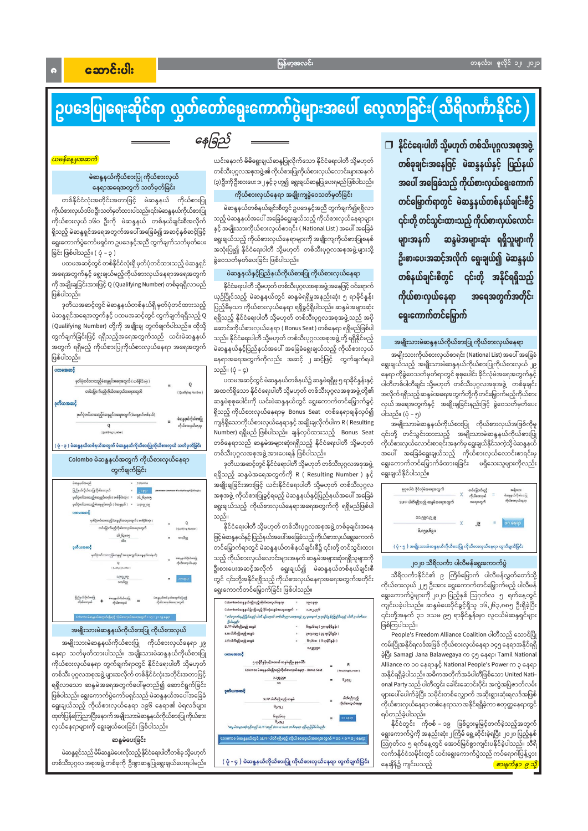$\bullet$ 

## ဥပဒေပြုရေးဆိုင်ရာ လွှတ်တော်ရွေးကောက်ပွဲများအပေါ် လေ့လာခြင်း $($ သိရိလင်္ကာနိုင်ငံ $)$

နေခြည်

#### <mark>ယမန်နေ့မှအဆက်</mark>

#### မဲဆန္ဒနယ်ကိုယ်စားပြု ကိုယ်စားလှယ် နေရာအရေအတွက် သတ်မှတ်ခြင်း

တစ်နိုင်ငံလုံးအတိုင်းအတာဖြင့် မဲဆန္ဒနယ် ကိုယ်စားပြု ကိုယ်စားလှယ်၁၆၀ဦးသတ်မှတ်ထားပါသည်။၎င်းမဲဆန္ဒနယ်ကိုယ်စားပြ ကိုယ်စားလှယ် ၁၆၀ ဦးကို မဲဆန္ဒနယ် တစ်နယ်ချင်းစီအလိုက် ရှိသည့် မဲဆန္ဒရှင်အရေအတွက်အပေါ်အခြေခံ၍ အဆင့်နှစ်ဆင့်ဖြင့် ရွေးကောက်ပွဲကော်မရှင်က ဥပဒေနှင့်အညီ တွက်ချက်သတ်မှတ်ပေး ခြင်း ဖြစ်ပါသည်။ ( ပုံ – ၃ )

ပထမအဆင့်တွင် တစ်နိုင်ငံလုံးရှိ မှတ်ပုံတင်ထားသည့် မဲဆန္ဒရှင် အရေအတွက်နှင့် ရွေးချယ်မည့်ကိုယ်စားလှယ်နေရာအရေအတွက် ကို အချိုးချခြင်းအားဖြင့် Q (Qualifying Number) တစ်ခုရရှိလာမည် ဖြစ်ပါသည်။

ဒုတိယအဆင့်တွင် မဲဆန္ဒနယ်တစ်နယ်ရှိ မှတ်ပုံတင်ထားသည့် မဲဆန္ဒရှင်အရေအတွက်နှင့် ပထမအဆင့်တွင် တွက်ချက်ရရှိသည့် Q (Qualifying Number) တို့ကို အချိုးချ တွက်ချက်ပါသည်။၊ ထိုသို့ တွက်ချက်ခြင်းဖြင့် ရရှိသည့်အရေအတွက်သည် ယင်းမဲဆန္ဒနယ် အတွက် ရရှိမည့် ကိုယ်စားပြုကိုယ်စားလှယ်နေရာ အရေအတွက် ဖြစ်ပါသည်။



ယင်းနောက် မိမိရွေးချယ်ဆန္ဒပြုလိုက်သော နိုင်ငံရေးပါတီ သို့မဟုတ် တစ်သီးပုဂ္ဂလအစုအဖွဲ့၏ ကိုယ်စားပြုကိုယ်စားလှယ်လောင်းများအနက် (၃) ဦးကို ဦးစားပေး ၁၊၂ နှင့် ၃ ဟူ၍ ရွေးချယ်ဆန္ဒပြုပေးရမည် ဖြစ်ပါသည်။

#### ကိုယ်စားလှယ်နေရာ အချိုးကျခွဲဝေသတ်မှတ်ခြင်း

မဲဆန္ဒနယ်တစ်နယ်ချင်းစီတွင် ဥပဒေနှင့်အညီ တွက်ချက်၍ရရှိလာ သည့် မဲဆန္ဒနယ်အပေါ် အခြေခံရွေးချယ်သည့် ကိုယ်စားလှယ်နေရာများ နှင့် အမျိုးသားကိုယ်စားလှယ်စာရင်း ( National List ) အပေါ် အခြေခံ ရွေးချယ်သည့် ကိုယ်စားလှယ်နေရာများကို အချိုးကျကိုယ်စားပြုစနစ် အသုံးပြု၍ နိုင်ငံရေးပါတီ သို့မဟုတ် တစ်သီးပုဂ္ဂလအစုအဖွဲ့များသို့ ခွဲဝေသတ်မှတ်ပေးခြင်း ဖြစ်ပါသည်။

#### မဲဆန္ဒနယ်နှင့်ပြည်နယ်ကိုယ်စားပြု ကိုယ်စားလှယ်နေရာ

နိုင်ငံရေးပါတီ သို့မဟုတ် တစ်သီးပုဂ္ဂလအစုအဖွဲ့အနေဖြင့် ဝင်ရောက် ယှဉ်ပြိုင်သည့် မဲဆန္ဒနယ်တွင် ဆန္ဒမဲရရှိမှုအနည်းဆုံး ၅ ရာခိုင်နှုန်း ပြည့်မီမှသာ ကိုယ်စားလှယ်နေရာ ရရှိခွင့်ရှိပါသည်။ ဆန္ဒမဲအများဆုံး ရရှိသည့် နိုင်ငံရေးပါတီ သို့မဟုတ် တစ်သီးပုဂ္ဂလအစုအဖွဲ့သည် အပို ဆောင်းကိုယ်စားလှယ်နေရာ ( Bonus Seat ) တစ်နေရာ ရရှိမည်ဖြစ်ပါ သည်။ နိုင်ငံရေးပါတီ သို့မဟုတ် တစ်သီးပုဂ္ဂလအစုအဖွဲ့တို့ ရရှိနိုင်မည့် မဲဆန္ဒနယ်နှင့်ပြည်နယ်အပေါ် အခြေခံရွေးချယ်သည့် ကိုယ်စားလှယ် နေရာအရေအတွက်ကိုလည်း အဆင့် ၂ ဆင့်ဖြင့် တွက်ချက်ရပါ သည်။ (ပုံ – ၄)

ပထမအဆင့်တွင် မဲဆန္ဒနယ်တစ်နယ်၌ ဆန္ဒမဲရရှိမှု ၅ ရာခိုင်နူန်းနှင့် အထက်ရှိသော နိုင်ငံရေးပါတီ သို့မဟုတ် တစ်သီးပုဂ္ဂလအစုအဖွဲ့တို့၏ ဆန္ဒမဲစုစုပေါင်းကို ယင်းမဲဆန္ဒနယ်တွင် ရွေးကောက်တင်မြှောက်ခွင့် ရှိသည့် ကိုယ်စားလှယ်နေရာမှ Bonus Seat တစ်နေရာချန်လှပ်၍ ကျန်ရှိသောကိုယ်စားလှယ်နေရာနှင့် အချိုးချလိုက်ပါက R ( Resulting Number) ရရှိမည် ဖြစ်ပါသည်။ ချန်လုပ်ထားသည့် Bonus Seat တစ်နေရာသည် ဆန္ဒမဲအများဆုံးရရှိသည့် နိုင်ငံရေးပါတီ သို့မဟုတ် တစ်သီးပုဂ္ဂလအစုအဖွဲ့ အားပေးရန် ဖြစ်ပါသည်။

ဒုတိယအဆင့်တွင် နိုင်ငံရေးပါတီ သို့မဟုတ် တစ်သီးပုဂ္ဂလအစုအဖွဲ့ ရရှိသည့် ဆန္ဒမဲအရေအတွက်ကို R ( Resulting Number ) နှင့် အချိုးချခြင်းအားဖြင့် ယင်းနိုင်ငံရေးပါတီ သို့မဟုတ် တစ်သီးပုဂ္ဂလ အစုအဖွဲ့ ကိုယ်စားပြုခွင့်ရမည့် မဲဆန္ဒနယ်နှင့်ပြည်နယ်အပေါ် အခြေခံ ရွေးချယ်သည့် ကိုယ်စားလှယ်နေရာအရေအတွက်ကို ရရှိမည်ဖြစ်ပါ သည်။

နိုင်ငံရေးပါတီ သို့မဟုတ် တစ်သီးပုဂ္ဂလအစုအဖွဲ့ တစ်ခုချင်းအနေ ဖြင့်မဲဆန္ဒနယ်နှင့် ပြည်နယ်အပေါ်အခြေခံသည့်ကိုယ်စားလှယ်ရွေးကောက် တင်မြှောက်ရာတွင် မဲဆန္ဒနယ်တစ်နယ်ချင်းစီ၌ ၎င်းတို့ တင်သွင်းထား သည့် ကိုယ်စားလှယ်လောင်းများအနက် ဆန္ဒမဲအများဆုံးရရှိသူများကို ဦးစားပေးအဆင့်အလိုက် ရွေးချယ်၍ မဲဆန္ဒနယ်တစ်နယ်ချင်းစီ တွင် ၎င်းတို့အနိုင်ရရှိသည့် ကိုယ်စားလှယ်နေရာအရေအတွက်အတိုင်း ရွေးကောက်တင်မြှောက်ခြင်း ဖြစ်ပါသည်။

| ပြည်နယ်ကိုယ်စာပြု<br>မဲဆန္ဒနယ်တစ်နယ်အတွက်ရရှိမည့်<br>မဲဆန္ဒနယ်ကိုယ်စားပြု |                                                                                                                                                                                | ခါကလောင်းကို ၂၀၂၀ ပြည့်နှစ် ဩဂုတ်ငေ နဲ ၂ ရက်နေ့တွင                                                                               |
|---------------------------------------------------------------------------|--------------------------------------------------------------------------------------------------------------------------------------------------------------------------------|----------------------------------------------------------------------------------------------------------------------------------|
| ကိုယ်စားလှယ်အရေအတွက်                                                      | Colombo မဲဆန္ဒနယ်ရရှိသည့်ကိုယ်စားလှယ်နေရာ<br>၁၉ နေရာ<br>Colombo မဲဆန္ဒနယ်၌ ရရှိသည့် ခိုင်လုံဆန္ဒမဲအရေအတွက် =<br>၁,၁၈၂,၇၇၆                                                      | ကျင်းပခဲ့ပါသည်။ ဆန္ဒမဲပေးပိုင်ခွင့်ရှိသူ ၁၆,၂၆၃,၈၈၅ ဦးရှိခဲ့ပြီး                                                                 |
| Colombo မဲဆန္ဒနယ်အတွက်လို့မည့် ကိုယ်စားလှယ်အရေအတွက် = ၁၇ +၂ = ၁၉ နေရာ     | * ဝင်ရောက်ယှဉ်ဖြိုင်သည့် ပါတီ သို့မဟုတ် တစ်သီးပုဂ္ဂလအစုအဖွဲ့ ၄၂ ခုအနက် ၅ ရာနိုင်နွန်းပြည့်မီသည့် ပါတီ ၃ ပါတီသာ<br>Bulazalo                                                     | ၎င်းတို့အနက် ၃၁ ဒသမ ၉၅ ရာခိုင်နူန်းမှာ လူငယ်မဲဆန္ဒရှင်များ                                                                       |
| အမျိုးသားမဲဆန္ဒနယ်ကိုယ်စားပြု ကိုယ်စားလှယ်                                | ၆၇၄,၆၀၃ ( ၅၇ ရာ၆ိုင်နှန်း )<br>SLPP ပါတီဂရှိသည့် ဆန္ဒမဲ<br>၃၈၇,၁၄၅ ( ၃၃ ရာနိုင်န္နန်း )<br>SJB ပါတီဂရှိသည့် ဆန္ဒမဲ                                                             | ဖြစ်ကြပါသည်။<br>People's Freedom Alliance Coalition ပါတီသည် သောင်ပြို                                                            |
| အမျိုးသားမဲဆန္ဒနယ်ကိုယ်စားပြု ကိုယ်စားလှယ်နေရာ ၂၉                         | JJB ပါတီရရှိသည့် ဆန္ဒမဲ<br>၆၇,၆၀၀ ( ၆ ရာခိုင်နှန်း )                                                                                                                           | ကမ်းပြိုအနိုင်ရလဒ်အဖြစ် ကိုယ်စားလှယ်နေရာ ၁၄၅ နေရာအနိုင်ရရှိ                                                                      |
| နရာ သတ်မှတ်ထားပါသည်။ အမျိုးသားမဲဆန္ဒနယ်ကိုယ်စားပြု                        | ပထမအဆင့်                                                                                                                                                                       | ခဲ့ပြီး Samagi Jana Balawegaya က ၄၅ နေရာ၊ Tamil National                                                                         |
| ဂိုယ်စားလှယ်နေရာ တွက်ချက်ရာတွင် နိုင်ငံရေးပါတီ သို့မဟုတ်                  | ၅ ရာခိုင်စွန်းနှင့်အထက် ဆန္ဒမဲရရှိမှု စုစုပေါင်း                                                                                                                               | Alliance က ၁၀ နေရာနှင့် National People's Power က ၃ နေရာ                                                                         |
| ကစ်သီး ပုဂ္ဂလအစုအဖွဲ့ များအလိုက် တစ်နိုင်ငံလုံးအတိုင်းအတာဖြင့်            | Colombo မဲဆန္ဒနယ်ရရှိသည့်ကိုယ်စားလှယ်နေရာ - Bonus Seat<br>[ Resulting Number]<br>obeserce<br>GUYSJ                                                                             | အနိုင်ရရှိခဲ့ပါသည်။ အဓိကအတိုက်အခံပါတီဖြစ်သော United Nati–                                                                        |
| ရှိလာသော ဆန္ဒမဲအရေအတွက်ပေါ်မူတည်၍ ဆောင်ရွက်ခြင်း                          |                                                                                                                                                                                | onal Party သည် ပါတီတွင်း ခေါင်းဆောင်းပိုင်း အကွဲအပြဲဇာတ်လမ်း                                                                     |
| နစ်ပါသည်။ ရွေးကောက်ပွဲကော်မရှင်သည် မဲဆန္ဒနယ်အပေါ်အခြေခံ                   | ဒုတိယအဆင့်<br>ပါတီရရှိသည့်<br>ကိုယ်စားလှယ်နေရာ<br>SLPP ပါတီရရှိသည့် ဆန္ဒမဲ                                                                                                     | များပေါ်ပေါက်ခဲ့ပြီး သမိုင်းတစ်လျှောက် အဆိုးရွားဆုံးရလဒ်အဖြစ်                                                                    |
| ရွးချယ်သည့် ကိုယ်စားလှယ်နေရာ ၁၉၆ နေရာ၏ မဲရလဒ်များ                         | GUYSJ                                                                                                                                                                          | ကိုယ်စားလှယ်နေရာ တစ်နေရာသာ အနိုင်ရရှိခဲ့ကာ စတုတ္ထနေရာတွင်                                                                        |
| ဝုတ်ပြန်ကြေညာပြီးနောက်အမျိုးသားမဲဆန္ဒနယ်ကိုယ်စားပြု ကိုယ်စား              | 626.605<br>$\begin{array}{lll} \text{space} & \text{if} & \text{if} & \text{if} & \text{if} \\ \text{if} & \text{if} & \text{if} & \text{if} & \text{if} \end{array}$<br>6.991 | ရပ်တည်ခဲ့ပါသည်။                                                                                                                  |
| ပုယ်နေရာများကို ရွေးချယ်ပေးခြင်း ဖြစ်ပါသည်။                               | 'ဆရမဲအမူတဆုံးရရှိသည့် SLPP သည် Bonus Seat တစ်နေရာ ရရှိမည်ဖြစ်ပါသည်။                                                                                                            | နိုင်ငံတွင်း ကိုဗစ် – ၁၉ ဖြစ်ပွားမှုမြင့်တက်ခဲ့သည့်အတွက်                                                                         |
| ဆန္ဒမဲပေးခြင်း                                                            | Colombo မဲဆန္ခနယ်တွင် SLPP ပါတီရရှိမည့် ကိုယ်စားလှယ်အရေအတွက် = ၁၁ + ၁ = ၁၂ နေရာ                                                                                                | ရွေးကောက်ပွဲကို အနည်းဆုံး ၂ကြိမ် ရွှေ့ဆိုင်းခဲ့ရပြီး ၂၀၂၀ ပြည့်နှစ်<br>ဩဂုတ်လ ၅ ရက်နေ့တွင် အောင်မြင်စွာကျင်းပနိုင်ခဲ့ပါသည်။ သီရိ |
| မဲဆန္ဒရှင်သည် မိမိဆန္ဒမဲပေးလိုသည့် နိုင်ငံရေးပါတီတစ်ခု သို့မဟုတ်          |                                                                                                                                                                                | လင်္ကာနိုင်ငံသမိုင်းတွင် ယင်းရွေးကောက်ပွဲသည် ကပ်ရောဂါပြန့်ပွား                                                                   |
| ကစ်သီးပုဂ္ဂလ အစုအဖွဲ့ တစ်ခုကို ဦးစွာဆန္ဒပြုရွေးချယ်ပေးရပါမည်။             | ( ပုံ - ၄ ) မဲဆန္ဒနယ်ကိုယ်စားပြု ကိုယ်စားလှယ်နေရာ တွက်ချက်ခြင်း                                                                                                                | နေချိန်၌ ကျင်းပသည့်<br><mark>စာမျက်နှာ ၉ သို့</mark>                                                                             |

ာ နိုင်ငံရေးပါတီ သို့မဟုတ် တစ်သီးပုဂ္ဂလအစုအဖွဲ့ တစ်ခုချင်းအနေဖြင့် မဲဆန္ဒနယ်နှင့် ပြည်နယ် အပေါ် အခြေခံသည့် ကိုယ်စားလှယ်ရွေးကောက် တင်မြှောက်ရာတွင် မဲဆန္ဒနယ်တစ်နယ်ချင်းစိ၌ ၎င်းတို့ တင်သွင်းထားသည့် ကိုယ်စားလှယ်လောင်း များအနက် ဆန္ဒမဲအများဆုံး ရရှိသူများကို ဦးစားပေးအဆင့်အလိုက် ရွေးချယ်၍ မဲဆန္ဒနယ် တစ်နယ်ချင်းစီတွင် ၎င်းတို့ အနိုင်ရရှိသည့် အရေအတွက်အတိုင်း ကိုယ်စားလှယ်နေရာ ရွေးကောက်တင်မြှောက်

#### အမျိုးသားမဲဆန္ဒနယ်ကိုယ်စားပြု ကိုယ်စားလှယ်နေရာ

အမျိုးသားကိုယ်စားလှယ်စာရင်း (National List) အပေါ် အခြေခံ ရွေးချယ်သည့် အမျိုးသားမဲဆန္ဒနယ်ကိုယ်စားပြုကိုယ်စားလှယ် ၂၉ နေရာ ကိုခွဲဝေသတ်မှတ်ရာတွင် စုစုပေါင်း ခိုင်လုံမဲအရေအတွက်နှင့် ပါတီတစ်ပါတီချင်း သို့မဟုတ် တစ်သီးပုဂ္ဂလအစုအဖွဲ့ တစ်ခုချင်း အလိုက် ရရှိသည့် ဆန္ဒမဲအရေအတွက်တို့ကို တင်မြှောက်မည့်ကိုယ်စာ<mark>း</mark> လှယ် အရေအတွက်နှင့် အချိုးချခြင်းနည်းဖြင့် ခွဲဝေသတ်မှတ်ပေး ပါသည်။ (ပုံ – ၅)

၎င်းတို့ တင်သွင်းထားသည့် အမျိုးသားမဲဆန္ဒနယ်ကိုယ်စားပြု ကိုယ်စားလှယ်လောင်းစာရင်းအနက်မှ ရွေးချယ်နိုင်သကဲ့သို့ မဲဆန္ဒနယ် အပေါ် အခြေခံရွေးချယ်သည့် ကိုယ်စားလှယ်လောင်းစာရင်းမှ ရွေးကောက်တင်မြှောက်ခံထားရခြင်း မရှိသေးသူများကိုလည်း ရွေးချယ်နိုင်ပါသည်။



#### ၂၀၂၀ သီရိလင်္ကာ ပါလီမန်ရွေးကောက်ပွဲ

သီရိလင်္ကာနိုင်ငံ၏ ၉ ကြိမ်မြောက် ပါလီမန်လွှတ်တော်သို့ ကိုယ်စားလှယ် ၂၂၅ ဦးအား ရွေးကောက်တင်မြှောက်မည့် ပါလီမန်